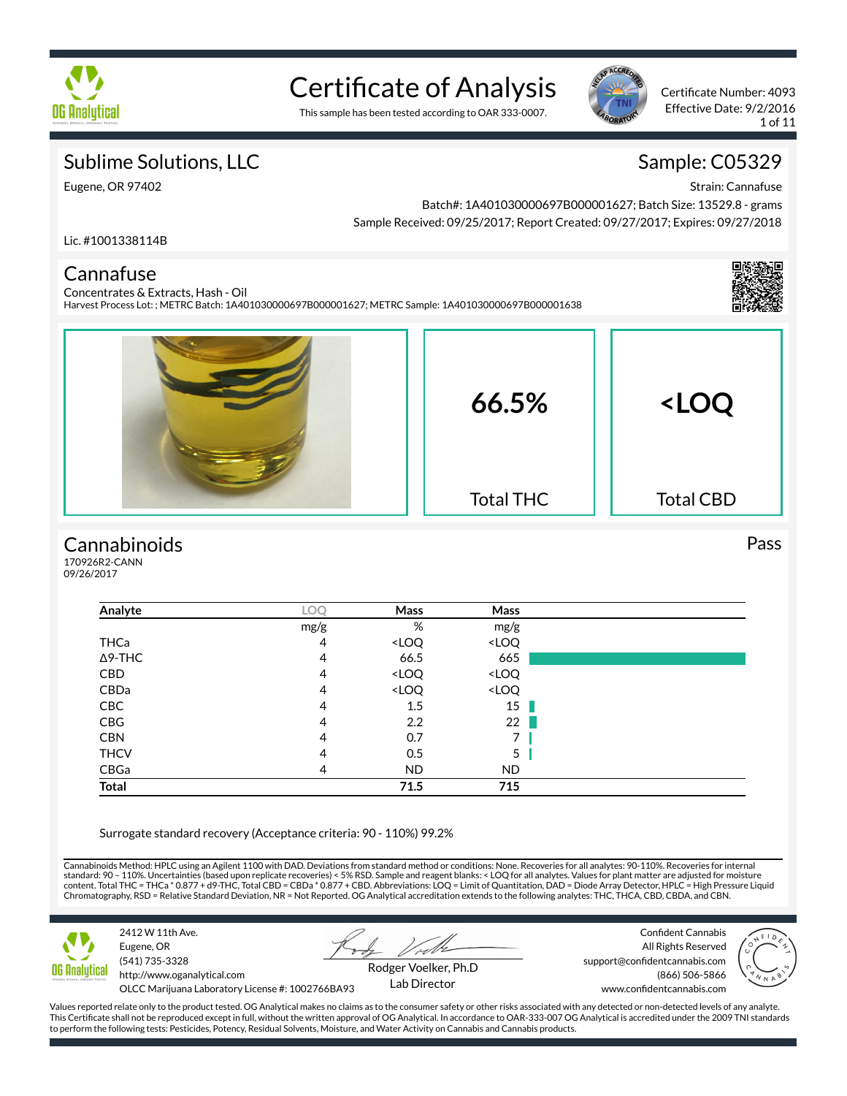

# Certificate of Analysis

This sample has been tested according to OAR 333-0007.



Certificate Number: 4093 Effective Date: 9/2/2016 1 of 11

### Sublime Solutions, LLC

Sample: C05329 Strain: Cannafuse

Eugene, OR 97402

Batch#: 1A401030000697B000001627; Batch Size: 13529.8 - grams Sample Received: 09/25/2017; Report Created: 09/27/2017; Expires: 09/27/2018

Lic. #1001338114B

### Cannafuse

Concentrates & Extracts, Hash - Oil Harvest Process Lot: ; METRC Batch: 1A401030000697B000001627; METRC Sample: 1A401030000697B000001638



### **Cannabinoids**

170926R2-CANN 09/26/2017

| Analyte        | LOQ  | Mass                                                     | Mass                         |  |
|----------------|------|----------------------------------------------------------|------------------------------|--|
|                | mg/g | %                                                        | mg/g                         |  |
| THCa           | 4    | <loq< td=""><td><loq< td=""><td></td></loq<></td></loq<> | <loq< td=""><td></td></loq<> |  |
| $\Delta$ 9-THC | 4    | 66.5                                                     | 665                          |  |
| <b>CBD</b>     | 4    | <loq< td=""><td><loq< td=""><td></td></loq<></td></loq<> | <loq< td=""><td></td></loq<> |  |
| CBDa           | 4    | <loq< td=""><td><loq< td=""><td></td></loq<></td></loq<> | <loq< td=""><td></td></loq<> |  |
| CBC            | 4    | 1.5                                                      | 15                           |  |
| CBG            | 4    | 2.2                                                      | 22                           |  |
| <b>CBN</b>     | 4    | 0.7                                                      | 7                            |  |
| <b>THCV</b>    | 4    | 0.5                                                      | 5                            |  |
| CBGa           | 4    | ND.                                                      | ND.                          |  |
| <b>Total</b>   |      | 71.5                                                     | 715                          |  |

Surrogate standard recovery (Acceptance criteria: 90 - 110%) 99.2%

Cannabinoids Method: HPLC using an Agilent 1100 with DAD. Deviations from standard method or conditions: None. Recoveries for all analytes: 90-110%. Recoveries for internal standard: 90 – 110%. Uncertainties (based upon replicate recoveries) < 5% RSD. Sample and reagent blanks: < LOQ for all analytes. Values for plant matter are adjusted for moisture<br>content. Total THC = THCa \* 0.877 + d9-THC Chromatography, RSD = Relative Standard Deviation, NR = Not Reported. OG Analytical accreditation extends to the following analytes: THC, THCA, CBD, CBDA, and CBN.



2412 W 11th Ave. Eugene, OR (541) 735-3328 http://www.oganalytical.com

Confident Cannabis All Rights Reserved support@confidentcannabis.com (866) 506-5866



OLCC Marijuana Laboratory License #: 1002766BA93

Rodger Voelker, Ph.D Lab Director

www.confidentcannabis.com

Values reported relate only to the product tested. OG Analytical makes no claims as to the consumer safety or other risks associated with any detected or non-detected levels of any analyte. This Certificate shall not be reproduced except in full, without the written approval of OG Analytical. In accordance to OAR-333-007 OG Analytical is accredited under the 2009 TNI standards to perform the following tests: Pesticides, Potency, Residual Solvents, Moisture, and Water Activity on Cannabis and Cannabis products.

#### Pass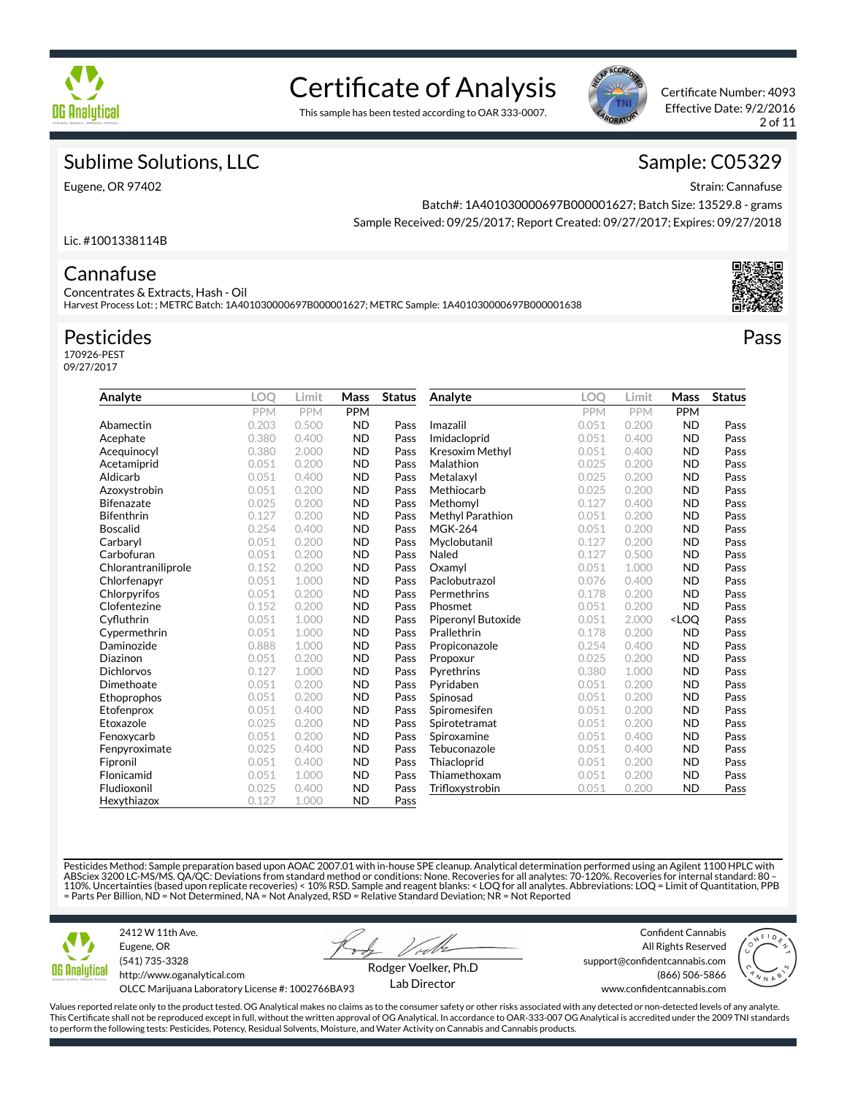

# Certificate of Analysis

This sample has been tested according to OAR 333-0007.



Certificate Number: 4093 Effective Date: 9/2/2016 2 of 11

### Sublime Solutions, LLC

Eugene, OR 97402

### Sample: C05329

Strain: Cannafuse

Batch#: 1A401030000697B000001627; Batch Size: 13529.8 - grams Sample Received: 09/25/2017; Report Created: 09/27/2017; Expires: 09/27/2018

#### Lic. #1001338114B

### **Cannafuse**

Concentrates & Extracts, Hash - Oil Harvest Process Lot: ; METRC Batch: 1A401030000697B000001627; METRC Sample: 1A401030000697B000001638

### Pesticides

170926-PEST 09/27/2017

| Analyte             | LOO   | Limit      | Mass       | <b>Status</b> | Analyte                | <b>LOO</b> | Limit      | Mass                             | <b>Status</b> |
|---------------------|-------|------------|------------|---------------|------------------------|------------|------------|----------------------------------|---------------|
|                     | PPM   | <b>PPM</b> | <b>PPM</b> |               |                        | <b>PPM</b> | <b>PPM</b> | <b>PPM</b>                       |               |
| Abamectin           | 0.203 | 0.500      | <b>ND</b>  | Pass          | Imazalil               | 0.051      | 0.200      | <b>ND</b>                        | Pass          |
| Acephate            | 0.380 | 0.400      | <b>ND</b>  | Pass          | Imidacloprid           | 0.051      | 0.400      | <b>ND</b>                        | Pass          |
| Acequinocyl         | 0.380 | 2.000      | <b>ND</b>  | Pass          | <b>Kresoxim Methyl</b> | 0.051      | 0.400      | <b>ND</b>                        | Pass          |
| Acetamiprid         | 0.051 | 0.200      | <b>ND</b>  | Pass          | Malathion              | 0.025      | 0.200      | <b>ND</b>                        | Pass          |
| Aldicarb            | 0.051 | 0.400      | <b>ND</b>  | Pass          | Metalaxyl              | 0.025      | 0.200      | <b>ND</b>                        | Pass          |
| Azoxystrobin        | 0.051 | 0.200      | <b>ND</b>  | Pass          | Methiocarb             | 0.025      | 0.200      | <b>ND</b>                        | Pass          |
| <b>Bifenazate</b>   | 0.025 | 0.200      | <b>ND</b>  | Pass          | Methomyl               | 0.127      | 0.400      | <b>ND</b>                        | Pass          |
| <b>Bifenthrin</b>   | 0.127 | 0.200      | <b>ND</b>  | Pass          | Methyl Parathion       | 0.051      | 0.200      | <b>ND</b>                        | Pass          |
| <b>Boscalid</b>     | 0.254 | 0.400      | <b>ND</b>  | Pass          | <b>MGK-264</b>         | 0.051      | 0.200      | <b>ND</b>                        | Pass          |
| Carbaryl            | 0.051 | 0.200      | <b>ND</b>  | Pass          | Myclobutanil           | 0.127      | 0.200      | <b>ND</b>                        | Pass          |
| Carbofuran          | 0.051 | 0.200      | <b>ND</b>  | Pass          | Naled                  | 0.127      | 0.500      | <b>ND</b>                        | Pass          |
| Chlorantraniliprole | 0.152 | 0.200      | <b>ND</b>  | Pass          | Oxamyl                 | 0.051      | 1.000      | <b>ND</b>                        | Pass          |
| Chlorfenapyr        | 0.051 | 1.000      | <b>ND</b>  | Pass          | Paclobutrazol          | 0.076      | 0.400      | <b>ND</b>                        | Pass          |
| Chlorpyrifos        | 0.051 | 0.200      | <b>ND</b>  | Pass          | Permethrins            | 0.178      | 0.200      | <b>ND</b>                        | Pass          |
| Clofentezine        | 0.152 | 0.200      | <b>ND</b>  | Pass          | Phosmet                | 0.051      | 0.200      | <b>ND</b>                        | Pass          |
| Cyfluthrin          | 0.051 | 1.000      | <b>ND</b>  | Pass          | Piperonyl Butoxide     | 0.051      | 2.000      | <loq< td=""><td>Pass</td></loq<> | Pass          |
| Cypermethrin        | 0.051 | 1.000      | <b>ND</b>  | Pass          | Prallethrin            | 0.178      | 0.200      | <b>ND</b>                        | Pass          |
| Daminozide          | 0.888 | 1.000      | <b>ND</b>  | Pass          | Propiconazole          | 0.254      | 0.400      | <b>ND</b>                        | Pass          |
| Diazinon            | 0.051 | 0.200      | <b>ND</b>  | Pass          | Propoxur               | 0.025      | 0.200      | <b>ND</b>                        | Pass          |
| <b>Dichlorvos</b>   | 0.127 | 1.000      | <b>ND</b>  | Pass          | Pyrethrins             | 0.380      | 1.000      | <b>ND</b>                        | Pass          |
| Dimethoate          | 0.051 | 0.200      | <b>ND</b>  | Pass          | Pyridaben              | 0.051      | 0.200      | <b>ND</b>                        | Pass          |
| Ethoprophos         | 0.051 | 0.200      | <b>ND</b>  | Pass          | Spinosad               | 0.051      | 0.200      | <b>ND</b>                        | Pass          |
| Etofenprox          | 0.051 | 0.400      | <b>ND</b>  | Pass          | Spiromesifen           | 0.051      | 0.200      | <b>ND</b>                        | Pass          |
| Etoxazole           | 0.025 | 0.200      | <b>ND</b>  | Pass          | Spirotetramat          | 0.051      | 0.200      | <b>ND</b>                        | Pass          |
| Fenoxycarb          | 0.051 | 0.200      | <b>ND</b>  | Pass          | Spiroxamine            | 0.051      | 0.400      | <b>ND</b>                        | Pass          |
| Fenpyroximate       | 0.025 | 0.400      | <b>ND</b>  | Pass          | Tebuconazole           | 0.051      | 0.400      | <b>ND</b>                        | Pass          |
| Fipronil            | 0.051 | 0.400      | <b>ND</b>  | Pass          | Thiacloprid            | 0.051      | 0.200      | <b>ND</b>                        | Pass          |
| Flonicamid          | 0.051 | 1.000      | <b>ND</b>  | Pass          | Thiamethoxam           | 0.051      | 0.200      | <b>ND</b>                        | Pass          |
| Fludioxonil         | 0.025 | 0.400      | <b>ND</b>  | Pass          | Trifloxystrobin        | 0.051      | 0.200      | <b>ND</b>                        | Pass          |
| Hexythiazox         | 0.127 | 1.000      | <b>ND</b>  | Pass          |                        |            |            |                                  |               |

Pesticides Method: Sample preparation based upon AOAC 2007.01 with in-house SPE cleanup. Analytical determination performed using an Agilent 1100 HPLC with<br>ABSciex 3200 LC-MS/MS. QA/QC: Deviations from standard method or c = Parts Per Billion, ND = Not Determined, NA = Not Analyzed, RSD = Relative Standard Deviation; NR = Not Reported



2412 W 11th Ave. Eugene, OR (541) 735-3328 http://www.oganalytical.com

Confident Cannabis All Rights Reserved support@confidentcannabis.com



OLCC Marijuana Laboratory License #: 1002766BA93

Rodger Voelker, Ph.D Lab Director

(866) 506-5866

www.confidentcannabis.com

Values reported relate only to the product tested. OG Analytical makes no claims as to the consumer safety or other risks associated with any detected or non-detected levels of any analyte. This Certificate shall not be reproduced except in full, without the written approval of OG Analytical. In accordance to OAR-333-007 OG Analytical is accredited under the 2009 TNI standards to perform the following tests: Pesticides, Potency, Residual Solvents, Moisture, and Water Activity on Cannabis and Cannabis products.



Pass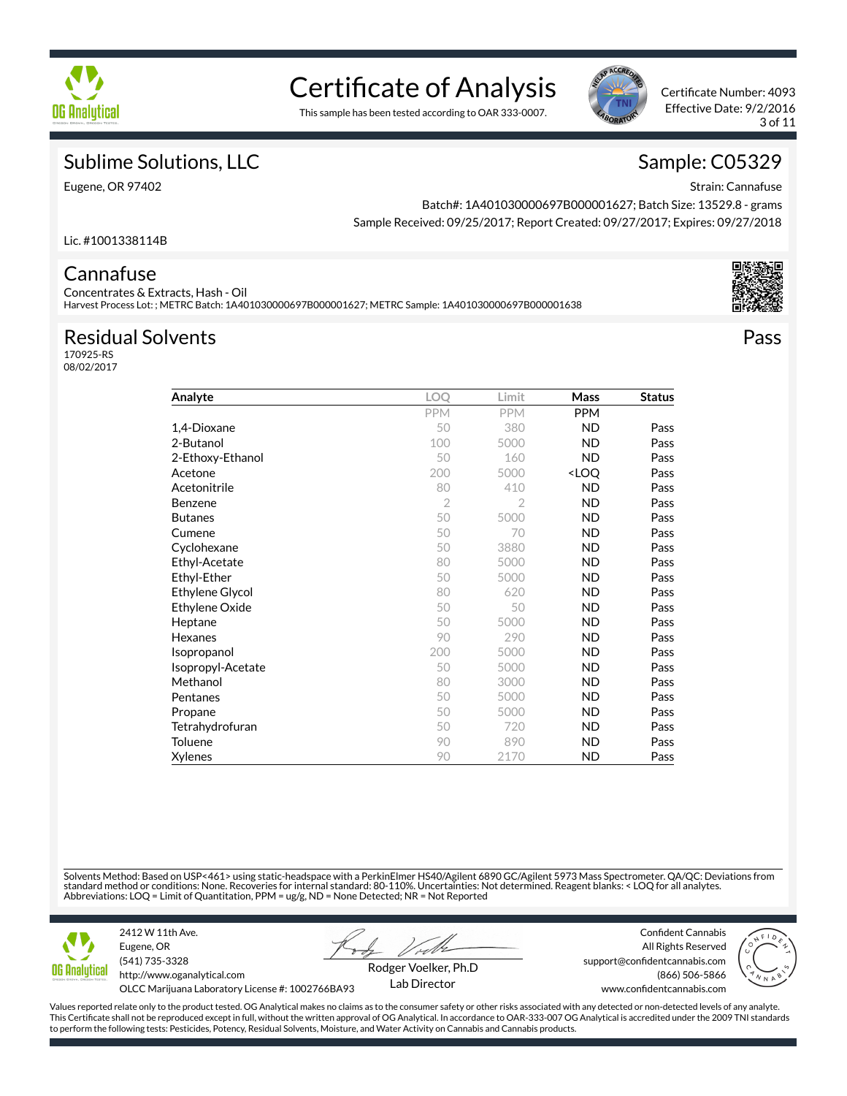

# Certificate of Analysis

This sample has been tested according to OAR 333-0007.



Certificate Number: 4093 Effective Date: 9/2/2016 3 of 11

### Sublime Solutions, LLC

Eugene, OR 97402

### Sample: C05329

Strain: Cannafuse

Pass

Batch#: 1A401030000697B000001627; Batch Size: 13529.8 - grams Sample Received: 09/25/2017; Report Created: 09/27/2017; Expires: 09/27/2018

Lic. #1001338114B

### **Cannafuse**

Concentrates & Extracts, Hash - Oil Harvest Process Lot: ; METRC Batch: 1A401030000697B000001627; METRC Sample: 1A401030000697B000001638

### Residual Solvents

170925-RS 08/02/2017

| Analyte                | LOQ            | Limit          | Mass                             | <b>Status</b> |
|------------------------|----------------|----------------|----------------------------------|---------------|
|                        | <b>PPM</b>     | <b>PPM</b>     | <b>PPM</b>                       |               |
| 1,4-Dioxane            | 50             | 380            | <b>ND</b>                        | Pass          |
| 2-Butanol              | 100            | 5000           | ND                               | Pass          |
| 2-Ethoxy-Ethanol       | 50             | 160            | <b>ND</b>                        | Pass          |
| Acetone                | 200            | 5000           | <loq< td=""><td>Pass</td></loq<> | Pass          |
| Acetonitrile           | 80             | 410            | ND                               | Pass          |
| Benzene                | $\overline{2}$ | $\overline{2}$ | <b>ND</b>                        | Pass          |
| <b>Butanes</b>         | 50             | 5000           | ND                               | Pass          |
| Cumene                 | 50             | 70             | ND                               | Pass          |
| Cyclohexane            | 50             | 3880           | ND                               | Pass          |
| Ethyl-Acetate          | 80             | 5000           | ND                               | Pass          |
| Ethyl-Ether            | 50             | 5000           | ND                               | Pass          |
| <b>Ethylene Glycol</b> | 80             | 620            | ND                               | Pass          |
| Ethylene Oxide         | 50             | 50             | ND                               | Pass          |
| Heptane                | 50             | 5000           | <b>ND</b>                        | Pass          |
| Hexanes                | 90             | 290            | ND                               | Pass          |
| Isopropanol            | 200            | 5000           | ND                               | Pass          |
| Isopropyl-Acetate      | 50             | 5000           | ND                               | Pass          |
| Methanol               | 80             | 3000           | <b>ND</b>                        | Pass          |
| Pentanes               | 50             | 5000           | ND                               | Pass          |
| Propane                | 50             | 5000           | ND                               | Pass          |
| Tetrahydrofuran        | 50             | 720            | ND                               | Pass          |
| Toluene                | 90             | 890            | <b>ND</b>                        | Pass          |
| Xylenes                | 90             | 2170           | ND                               | Pass          |

Solvents Method: Based on USP<461> using static-headspace with a PerkinElmer HS40/Agilent 6890 GC/Agilent 5973 Mass Spectrometer. QA/QC: Deviations from standard method or conditions: None. Recoveries for internal standard: 80-110%. Uncertainties: Not determined. Reagent blanks: < LOQ for all analytes.<br>Abbreviations: LOQ = Limit of Quantitation, PPM = ug/g, ND = None Detec



Eugene, OR (541) 735-3328 http://www.oganalytical.com

2412 W 11th Ave.

Confident Cannabis All Rights Reserved support@confidentcannabis.com



OLCC Marijuana Laboratory License #: 1002766BA93

Rodger Voelker, Ph.D Lab Director

(866) 506-5866 www.confidentcannabis.com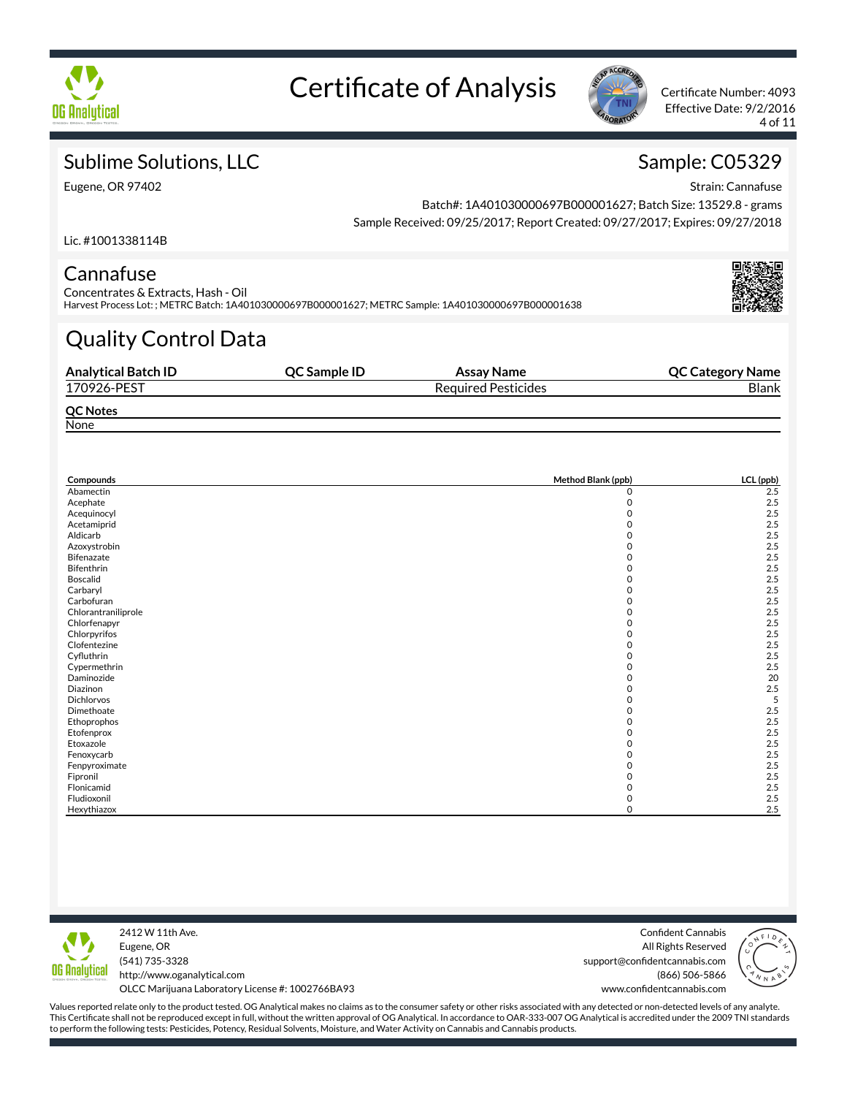



Effective Date: 9/2/2016 4 of 11

## Sublime Solutions, LLC

Eugene, OR 97402

# Sample: C05329

Strain: Cannafuse

Batch#: 1A401030000697B000001627; Batch Size: 13529.8 - grams Sample Received: 09/25/2017; Report Created: 09/27/2017; Expires: 09/27/2018

Lic. #1001338114B

### **Cannafuse**

Concentrates & Extracts, Hash - Oil Harvest Process Lot: ; METRC Batch: 1A401030000697B000001627; METRC Sample: 1A401030000697B000001638

# Quality Control Data

| <b>Analytical Batch ID</b> | QC Sample ID | Assay Name                 | <b>QC Category Name</b> |
|----------------------------|--------------|----------------------------|-------------------------|
| 170926-PEST                |              | <b>Required Pesticides</b> | <b>Blank</b>            |
| <b>QC Notes</b>            |              |                            |                         |
| None                       |              |                            |                         |

| Compounds           | Method Blank (ppb) | LCL (ppb) |
|---------------------|--------------------|-----------|
| Abamectin           | 0                  | 2.5       |
| Acephate            | $\mathbf 0$        | 2.5       |
| Acequinocyl         | Ω                  | 2.5       |
| Acetamiprid         |                    | 2.5       |
| Aldicarb            | ი                  | 2.5       |
| Azoxystrobin        | 0                  | 2.5       |
| Bifenazate          | 0                  | 2.5       |
| Bifenthrin          | 0                  | 2.5       |
| Boscalid            | 0                  | 2.5       |
| Carbaryl            | n                  | 2.5       |
| Carbofuran          |                    | 2.5       |
| Chlorantraniliprole |                    | 2.5       |
| Chlorfenapyr        | 0                  | 2.5       |
| Chlorpyrifos        |                    | 2.5       |
| Clofentezine        | O                  | 2.5       |
| Cyfluthrin          | 0                  | 2.5       |
| Cypermethrin        | 0                  | 2.5       |
| Daminozide          | 0                  | 20        |
| Diazinon            | n                  | 2.5       |
| <b>Dichlorvos</b>   |                    | 5         |
| Dimethoate          | O                  | 2.5       |
| Ethoprophos         |                    | 2.5       |
| Etofenprox          | 0                  | 2.5       |
| Etoxazole           | 0                  | 2.5       |
| Fenoxycarb          | 0                  | 2.5       |
| Fenpyroximate       | 0                  | 2.5       |
| Fipronil            |                    | 2.5       |
| Flonicamid          |                    | 2.5       |
| Fludioxonil         | 0                  | 2.5       |
| Hexythiazox         | O                  | 2.5       |



2412 W 11th Ave. Eugene, OR (541) 735-3328 http://www.oganalytical.com

Confident Cannabis All Rights Reserved support@confidentcannabis.com (866) 506-5866 www.confidentcannabis.com



OLCC Marijuana Laboratory License #: 1002766BA93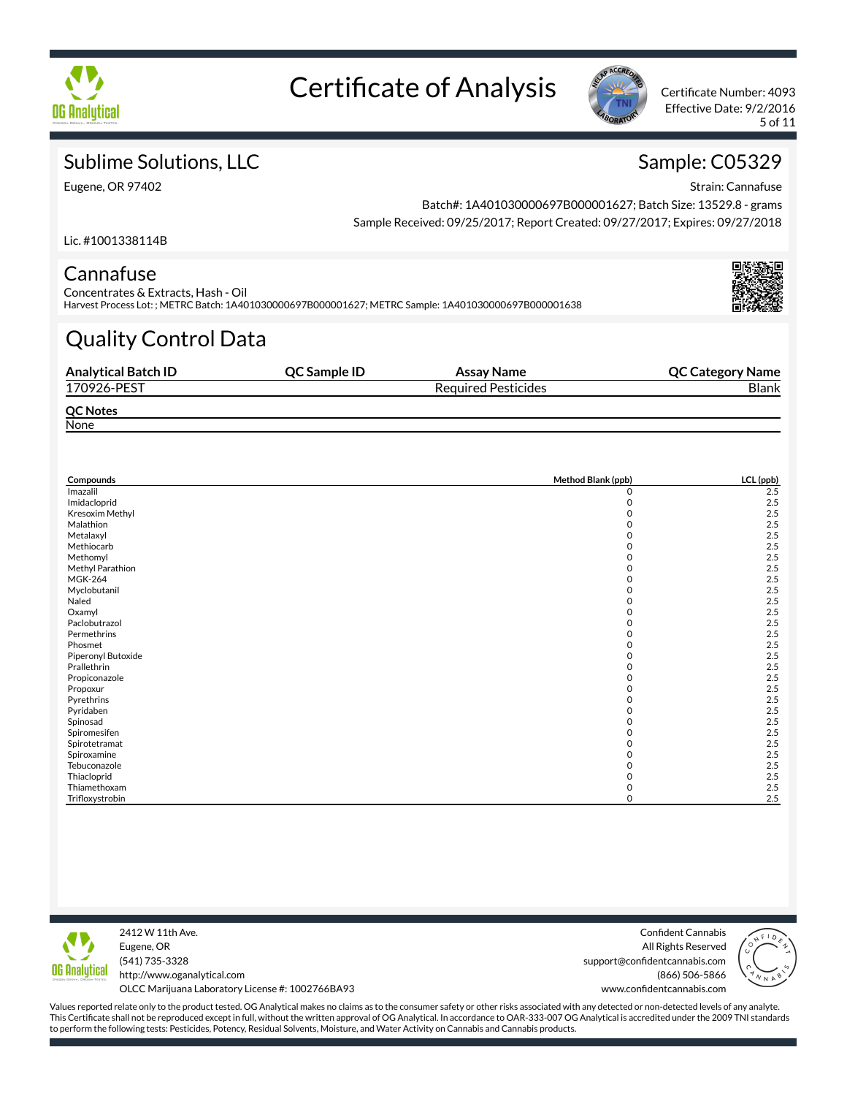



Effective Date: 9/2/2016 5 of 11

## Sublime Solutions, LLC

Eugene, OR 97402

# Sample: C05329

Strain: Cannafuse

Batch#: 1A401030000697B000001627; Batch Size: 13529.8 - grams Sample Received: 09/25/2017; Report Created: 09/27/2017; Expires: 09/27/2018

Lic. #1001338114B

### **Cannafuse**

Concentrates & Extracts, Hash - Oil Harvest Process Lot: ; METRC Batch: 1A401030000697B000001627; METRC Sample: 1A401030000697B000001638

# Quality Control Data

| <b>Analytical Batch ID</b> | <b>OC Sample ID</b> | Assay Name                 | <b>QC Category Name</b> |
|----------------------------|---------------------|----------------------------|-------------------------|
| 170926-PEST                |                     | <b>Required Pesticides</b> | <b>Blank</b>            |
| <b>QC Notes</b>            |                     |                            |                         |
| None                       |                     |                            |                         |

| Compounds          | Method Blank (ppb) | LCL (ppb) |
|--------------------|--------------------|-----------|
| Imazalil           | 0                  | 2.5       |
| Imidacloprid       | 0                  | 2.5       |
| Kresoxim Methyl    | O                  | 2.5       |
| Malathion          | ი                  | 2.5       |
| Metalaxyl          | ი                  | 2.5       |
| Methiocarb         | 0                  | 2.5       |
| Methomyl           | ი                  | 2.5       |
| Methyl Parathion   | ი                  | 2.5       |
| <b>MGK-264</b>     |                    | 2.5       |
| Myclobutanil       |                    | 2.5       |
| Naled              | O                  | 2.5       |
| Oxamyl             |                    | 2.5       |
| Paclobutrazol      | ი                  | 2.5       |
| Permethrins        | 0                  | 2.5       |
| Phosmet            | 0                  | 2.5       |
| Piperonyl Butoxide | 0                  | 2.5       |
| Prallethrin        | 0                  | 2.5       |
| Propiconazole      | ი                  | 2.5       |
| Propoxur           | ი                  | 2.5       |
| Pyrethrins         | ი                  | 2.5       |
| Pyridaben          | ი                  | 2.5       |
| Spinosad           | ი                  | 2.5       |
| Spiromesifen       | ი                  | 2.5       |
| Spirotetramat      | ი                  | 2.5       |
| Spiroxamine        | 0                  | 2.5       |
| Tebuconazole       | ი                  | 2.5       |
| Thiacloprid        | ი                  | 2.5       |
| Thiamethoxam       | O                  | 2.5       |
| Trifloxystrobin    | ი                  | 2.5       |



2412 W 11th Ave. Eugene, OR (541) 735-3328 http://www.oganalytical.com

Confident Cannabis All Rights Reserved support@confidentcannabis.com (866) 506-5866 www.confidentcannabis.com



OLCC Marijuana Laboratory License #: 1002766BA93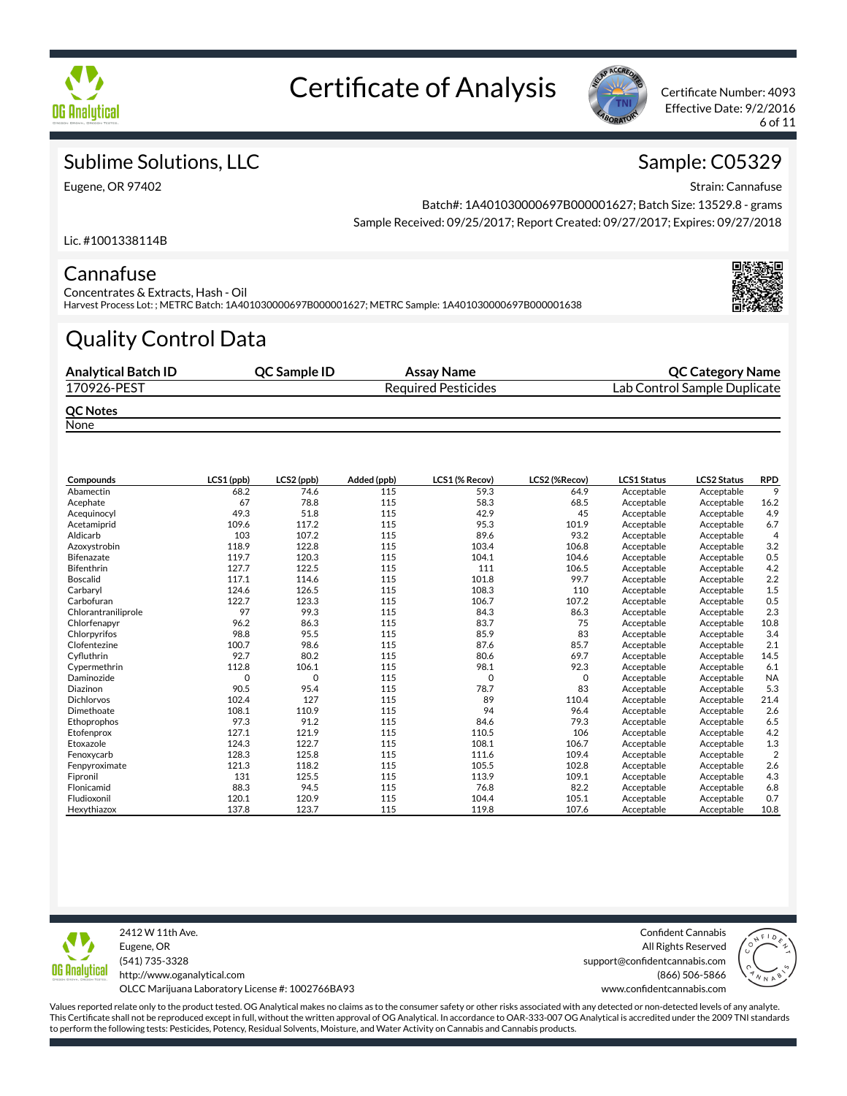



Effective Date: 9/2/2016 6 of 11

### Sublime Solutions, LLC

Eugene, OR 97402

# Sample: C05329

Strain: Cannafuse

Batch#: 1A401030000697B000001627; Batch Size: 13529.8 - grams Sample Received: 09/25/2017; Report Created: 09/27/2017; Expires: 09/27/2018

Lic. #1001338114B

### Cannafuse

Concentrates & Extracts, Hash - Oil Harvest Process Lot: ; METRC Batch: 1A401030000697B000001627; METRC Sample: 1A401030000697B000001638

# Quality Control Data

| <b>Analytical Batch ID</b> | <b>OC Sample ID</b> | Assay Name                 | <b>QC Category Name</b>      |
|----------------------------|---------------------|----------------------------|------------------------------|
| 170926-PEST                |                     | <b>Required Pesticides</b> | Lab Control Sample Duplicate |
| <b>QC Notes</b><br>Name.   |                     |                            |                              |

None

| Compounds           | LCS1 (ppb) | LCS2 (ppb)  | Added (ppb) | LCS1 (% Recov) | LCS2 (%Recov) | LCS1 Status | <b>LCS2 Status</b> | <b>RPD</b>     |
|---------------------|------------|-------------|-------------|----------------|---------------|-------------|--------------------|----------------|
| Abamectin           | 68.2       | 74.6        | 115         | 59.3           | 64.9          | Acceptable  | Acceptable         | 9              |
| Acephate            | 67         | 78.8        | 115         | 58.3           | 68.5          | Acceptable  | Acceptable         | 16.2           |
| Acequinocyl         | 49.3       | 51.8        | 115         | 42.9           | 45            | Acceptable  | Acceptable         | 4.9            |
| Acetamiprid         | 109.6      | 117.2       | 115         | 95.3           | 101.9         | Acceptable  | Acceptable         | 6.7            |
| Aldicarb            | 103        | 107.2       | 115         | 89.6           | 93.2          | Acceptable  | Acceptable         | $\overline{4}$ |
| Azoxystrobin        | 118.9      | 122.8       | 115         | 103.4          | 106.8         | Acceptable  | Acceptable         | 3.2            |
| <b>Bifenazate</b>   | 119.7      | 120.3       | 115         | 104.1          | 104.6         | Acceptable  | Acceptable         | 0.5            |
| <b>Bifenthrin</b>   | 127.7      | 122.5       | 115         | 111            | 106.5         | Acceptable  | Acceptable         | 4.2            |
| <b>Boscalid</b>     | 117.1      | 114.6       | 115         | 101.8          | 99.7          | Acceptable  | Acceptable         | 2.2            |
| Carbaryl            | 124.6      | 126.5       | 115         | 108.3          | 110           | Acceptable  | Acceptable         | 1.5            |
| Carbofuran          | 122.7      | 123.3       | 115         | 106.7          | 107.2         | Acceptable  | Acceptable         | 0.5            |
| Chlorantraniliprole | 97         | 99.3        | 115         | 84.3           | 86.3          | Acceptable  | Acceptable         | 2.3            |
| Chlorfenapyr        | 96.2       | 86.3        | 115         | 83.7           | 75            | Acceptable  | Acceptable         | 10.8           |
| Chlorpyrifos        | 98.8       | 95.5        | 115         | 85.9           | 83            | Acceptable  | Acceptable         | 3.4            |
| Clofentezine        | 100.7      | 98.6        | 115         | 87.6           | 85.7          | Acceptable  | Acceptable         | 2.1            |
| Cyfluthrin          | 92.7       | 80.2        | 115         | 80.6           | 69.7          | Acceptable  | Acceptable         | 14.5           |
| Cypermethrin        | 112.8      | 106.1       | 115         | 98.1           | 92.3          | Acceptable  | Acceptable         | 6.1            |
| Daminozide          | O          | $\mathbf 0$ | 115         | $\circ$        | 0             | Acceptable  | Acceptable         | <b>NA</b>      |
| Diazinon            | 90.5       | 95.4        | 115         | 78.7           | 83            | Acceptable  | Acceptable         | 5.3            |
| <b>Dichlorvos</b>   | 102.4      | 127         | 115         | 89             | 110.4         | Acceptable  | Acceptable         | 21.4           |
| Dimethoate          | 108.1      | 110.9       | 115         | 94             | 96.4          | Acceptable  | Acceptable         | 2.6            |
| Ethoprophos         | 97.3       | 91.2        | 115         | 84.6           | 79.3          | Acceptable  | Acceptable         | 6.5            |
| Etofenprox          | 127.1      | 121.9       | 115         | 110.5          | 106           | Acceptable  | Acceptable         | 4.2            |
| Etoxazole           | 124.3      | 122.7       | 115         | 108.1          | 106.7         | Acceptable  | Acceptable         | 1.3            |
| Fenoxycarb          | 128.3      | 125.8       | 115         | 111.6          | 109.4         | Acceptable  | Acceptable         | $\overline{2}$ |
| Fenpyroximate       | 121.3      | 118.2       | 115         | 105.5          | 102.8         | Acceptable  | Acceptable         | 2.6            |
| Fipronil            | 131        | 125.5       | 115         | 113.9          | 109.1         | Acceptable  | Acceptable         | 4.3            |
| Flonicamid          | 88.3       | 94.5        | 115         | 76.8           | 82.2          | Acceptable  | Acceptable         | 6.8            |
| Fludioxonil         | 120.1      | 120.9       | 115         | 104.4          | 105.1         | Acceptable  | Acceptable         | 0.7            |
| Hexythiazox         | 137.8      | 123.7       | 115         | 119.8          | 107.6         | Acceptable  | Acceptable         | 10.8           |



2412 W 11th Ave. Eugene, OR (541) 735-3328 http://www.oganalytical.com OLCC Marijuana Laboratory License #: 1002766BA93

Confident Cannabis All Rights Reserved support@confidentcannabis.com (866) 506-5866



Values reported relate only to the product tested. OG Analytical makes no claims as to the consumer safety or other risks associated with any detected or non-detected levels of any analyte. This Certificate shall not be reproduced except in full, without the written approval of OG Analytical. In accordance to OAR-333-007 OG Analytical is accredited under the 2009 TNI standards

to perform the following tests: Pesticides, Potency, Residual Solvents, Moisture, and Water Activity on Cannabis and Cannabis products.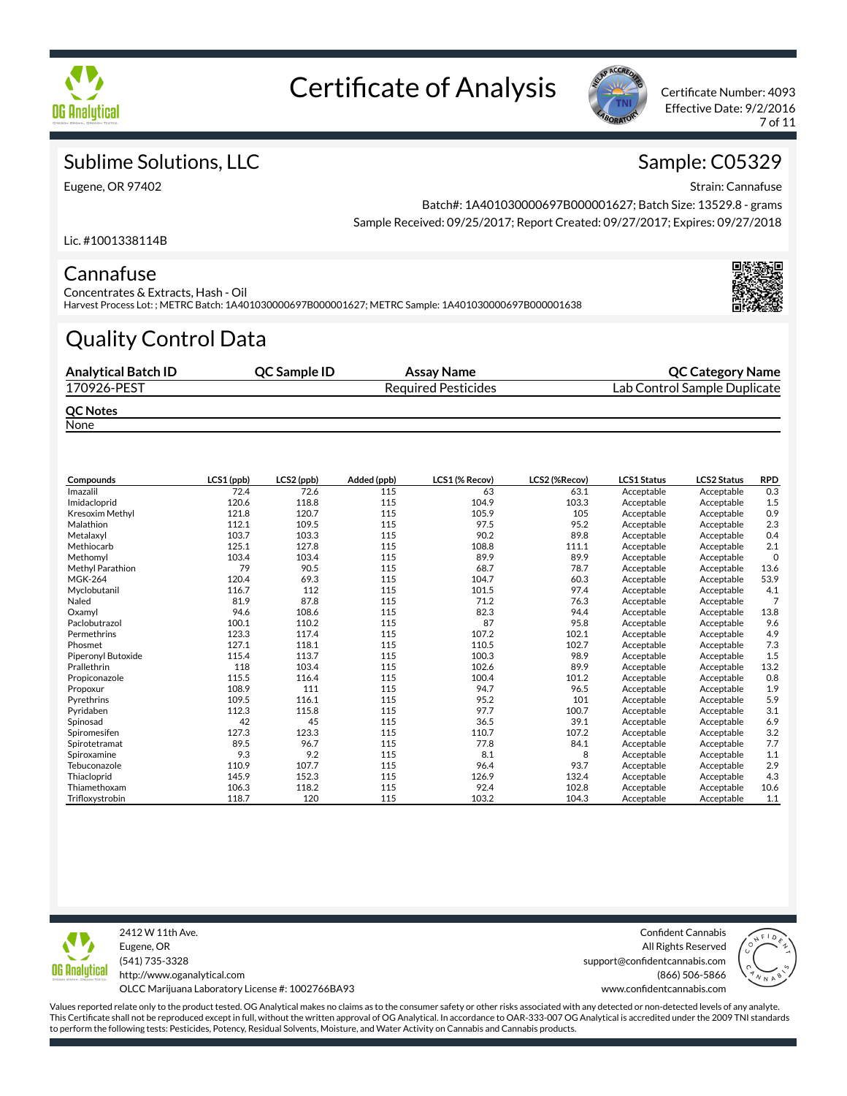



Effective Date: 9/2/2016 7 of 11

## Sublime Solutions, LLC

Eugene, OR 97402

## Sample: C05329

Strain: Cannafuse

Batch#: 1A401030000697B000001627; Batch Size: 13529.8 - grams Sample Received: 09/25/2017; Report Created: 09/27/2017; Expires: 09/27/2018

Lic. #1001338114B

### Cannafuse

Concentrates & Extracts, Hash - Oil Harvest Process Lot: ; METRC Batch: 1A401030000697B000001627; METRC Sample: 1A401030000697B000001638

# Quality Control Data

| <b>Analytical Batch ID</b>                                                                                    | <b>OC Sample ID</b> | Assay Name                 | <b>QC Category Name</b>      |
|---------------------------------------------------------------------------------------------------------------|---------------------|----------------------------|------------------------------|
| 170926-PEST                                                                                                   |                     | <b>Required Pesticides</b> | Lab Control Sample Duplicate |
| <b>QC Notes</b><br>$\mathbf{A}$ $\mathbf{B}$ $\mathbf{A}$ $\mathbf{B}$ $\mathbf{A}$ $\mathbf{B}$ $\mathbf{B}$ |                     |                            |                              |

None

| Compounds          | LCS1 (ppb) | LCS2 (ppb) | Added (ppb) | LCS1 (% Recov) | LCS2 (%Recov) | <b>LCS1 Status</b> | <b>LCS2 Status</b> | <b>RPD</b>     |
|--------------------|------------|------------|-------------|----------------|---------------|--------------------|--------------------|----------------|
| Imazalil           | 72.4       | 72.6       | 115         | 63             | 63.1          | Acceptable         | Acceptable         | 0.3            |
| Imidacloprid       | 120.6      | 118.8      | 115         | 104.9          | 103.3         | Acceptable         | Acceptable         | 1.5            |
| Kresoxim Methyl    | 121.8      | 120.7      | 115         | 105.9          | 105           | Acceptable         | Acceptable         | 0.9            |
| Malathion          | 112.1      | 109.5      | 115         | 97.5           | 95.2          | Acceptable         | Acceptable         | 2.3            |
| Metalaxyl          | 103.7      | 103.3      | 115         | 90.2           | 89.8          | Acceptable         | Acceptable         | 0.4            |
| Methiocarb         | 125.1      | 127.8      | 115         | 108.8          | 111.1         | Acceptable         | Acceptable         | 2.1            |
| Methomyl           | 103.4      | 103.4      | 115         | 89.9           | 89.9          | Acceptable         | Acceptable         | $\mathbf 0$    |
| Methyl Parathion   | 79         | 90.5       | 115         | 68.7           | 78.7          | Acceptable         | Acceptable         | 13.6           |
| <b>MGK-264</b>     | 120.4      | 69.3       | 115         | 104.7          | 60.3          | Acceptable         | Acceptable         | 53.9           |
| Myclobutanil       | 116.7      | 112        | 115         | 101.5          | 97.4          | Acceptable         | Acceptable         | 4.1            |
| Naled              | 81.9       | 87.8       | 115         | 71.2           | 76.3          | Acceptable         | Acceptable         | $\overline{7}$ |
| Oxamyl             | 94.6       | 108.6      | 115         | 82.3           | 94.4          | Acceptable         | Acceptable         | 13.8           |
| Paclobutrazol      | 100.1      | 110.2      | 115         | 87             | 95.8          | Acceptable         | Acceptable         | 9.6            |
| Permethrins        | 123.3      | 117.4      | 115         | 107.2          | 102.1         | Acceptable         | Acceptable         | 4.9            |
| Phosmet            | 127.1      | 118.1      | 115         | 110.5          | 102.7         | Acceptable         | Acceptable         | 7.3            |
| Piperonyl Butoxide | 115.4      | 113.7      | 115         | 100.3          | 98.9          | Acceptable         | Acceptable         | 1.5            |
| Prallethrin        | 118        | 103.4      | 115         | 102.6          | 89.9          | Acceptable         | Acceptable         | 13.2           |
| Propiconazole      | 115.5      | 116.4      | 115         | 100.4          | 101.2         | Acceptable         | Acceptable         | 0.8            |
| Propoxur           | 108.9      | 111        | 115         | 94.7           | 96.5          | Acceptable         | Acceptable         | 1.9            |
| Pyrethrins         | 109.5      | 116.1      | 115         | 95.2           | 101           | Acceptable         | Acceptable         | 5.9            |
| Pyridaben          | 112.3      | 115.8      | 115         | 97.7           | 100.7         | Acceptable         | Acceptable         | 3.1            |
| Spinosad           | 42         | 45         | 115         | 36.5           | 39.1          | Acceptable         | Acceptable         | 6.9            |
| Spiromesifen       | 127.3      | 123.3      | 115         | 110.7          | 107.2         | Acceptable         | Acceptable         | 3.2            |
| Spirotetramat      | 89.5       | 96.7       | 115         | 77.8           | 84.1          | Acceptable         | Acceptable         | 7.7            |
| Spiroxamine        | 9.3        | 9.2        | 115         | 8.1            | 8             | Acceptable         | Acceptable         | 1.1            |
| Tebuconazole       | 110.9      | 107.7      | 115         | 96.4           | 93.7          | Acceptable         | Acceptable         | 2.9            |
| Thiacloprid        | 145.9      | 152.3      | 115         | 126.9          | 132.4         | Acceptable         | Acceptable         | 4.3            |
| Thiamethoxam       | 106.3      | 118.2      | 115         | 92.4           | 102.8         | Acceptable         | Acceptable         | 10.6           |
| Trifloxystrobin    | 118.7      | 120        | 115         | 103.2          | 104.3         | Acceptable         | Acceptable         | 1.1            |



2412 W 11th Ave. Eugene, OR (541) 735-3328 http://www.oganalytical.com OLCC Marijuana Laboratory License #: 1002766BA93

Confident Cannabis All Rights Reserved support@confidentcannabis.com (866) 506-5866

www.confidentcannabis.com

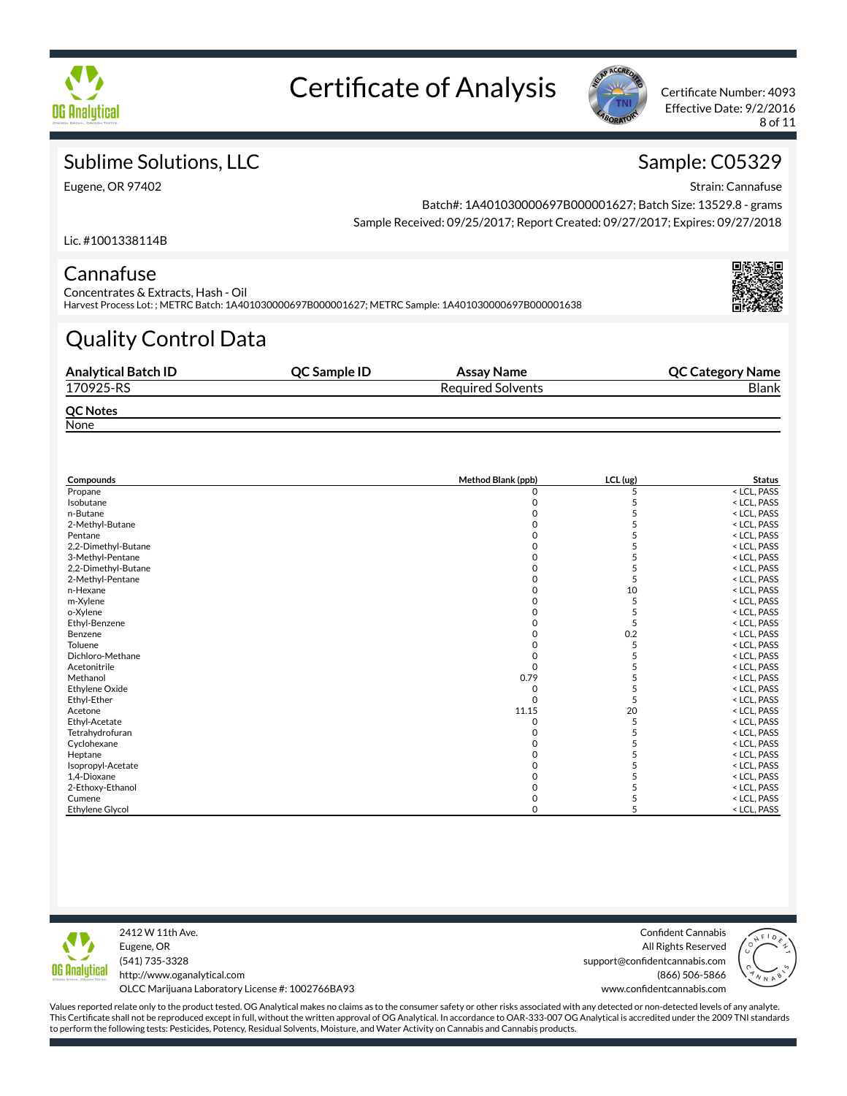



Effective Date: 9/2/2016 8 of 11

## Sublime Solutions, LLC

Eugene, OR 97402

## Sample: C05329

Strain: Cannafuse

Batch#: 1A401030000697B000001627; Batch Size: 13529.8 - grams Sample Received: 09/25/2017; Report Created: 09/27/2017; Expires: 09/27/2018

Lic. #1001338114B

### Cannafuse

Concentrates & Extracts, Hash - Oil Harvest Process Lot: ; METRC Batch: 1A401030000697B000001627; METRC Sample: 1A401030000697B000001638

# Quality Control Data

| <b>Analytical Batch ID</b> | <b>OC Sample ID</b> | Assay Name               | <b>QC Category Name</b> |
|----------------------------|---------------------|--------------------------|-------------------------|
| 170925-RS                  |                     | <b>Required Solvents</b> | <b>Blank</b>            |
| <b>QC Notes</b>            |                     |                          |                         |
| None                       |                     |                          |                         |

| Compounds              | Method Blank (ppb) | LCL (ug) | <b>Status</b>                |  |
|------------------------|--------------------|----------|------------------------------|--|
| Propane                | 0                  | 5        | < LCL, PASS                  |  |
| Isobutane              |                    |          | <lcl, pass<="" td=""></lcl,> |  |
| n-Butane               |                    |          | < LCL, PASS                  |  |
| 2-Methyl-Butane        |                    |          | < LCL, PASS                  |  |
| Pentane                |                    |          | < LCL, PASS                  |  |
| 2,2-Dimethyl-Butane    |                    |          | < LCL, PASS                  |  |
| 3-Methyl-Pentane       |                    |          | < LCL, PASS                  |  |
| 2,2-Dimethyl-Butane    |                    |          | < LCL, PASS                  |  |
| 2-Methyl-Pentane       |                    |          | < LCL, PASS                  |  |
| n-Hexane               |                    | 10       | < LCL, PASS                  |  |
| m-Xylene               |                    |          | < LCL, PASS                  |  |
| o-Xylene               |                    |          | < LCL, PASS                  |  |
| Ethyl-Benzene          |                    |          | < LCL, PASS                  |  |
| Benzene                |                    | 0.2      | < LCL, PASS                  |  |
| Toluene                |                    |          | < LCL, PASS                  |  |
| Dichloro-Methane       |                    |          | < LCL, PASS                  |  |
| Acetonitrile           |                    |          | < LCL, PASS                  |  |
| Methanol               | 0.79               |          | < LCL, PASS                  |  |
| Ethylene Oxide         |                    |          | < LCL, PASS                  |  |
| Ethyl-Ether            |                    |          | < LCL, PASS                  |  |
| Acetone                | 11.15              | 20       | < LCL, PASS                  |  |
| Ethyl-Acetate          |                    |          | < LCL, PASS                  |  |
| Tetrahydrofuran        |                    |          | < LCL, PASS                  |  |
| Cyclohexane            |                    |          | < LCL, PASS                  |  |
| Heptane                |                    |          | < LCL, PASS                  |  |
| Isopropyl-Acetate      |                    |          | < LCL, PASS                  |  |
| 1,4-Dioxane            |                    |          | < LCL, PASS                  |  |
| 2-Ethoxy-Ethanol       |                    |          | < LCL, PASS                  |  |
| Cumene                 |                    |          | < LCL, PASS                  |  |
| <b>Ethylene Glycol</b> |                    |          | < LCL, PASS                  |  |



2412 W 11th Ave. Eugene, OR (541) 735-3328 http://www.oganalytical.com OLCC Marijuana Laboratory License #: 1002766BA93

Confident Cannabis All Rights Reserved support@confidentcannabis.com (866) 506-5866 www.confidentcannabis.com

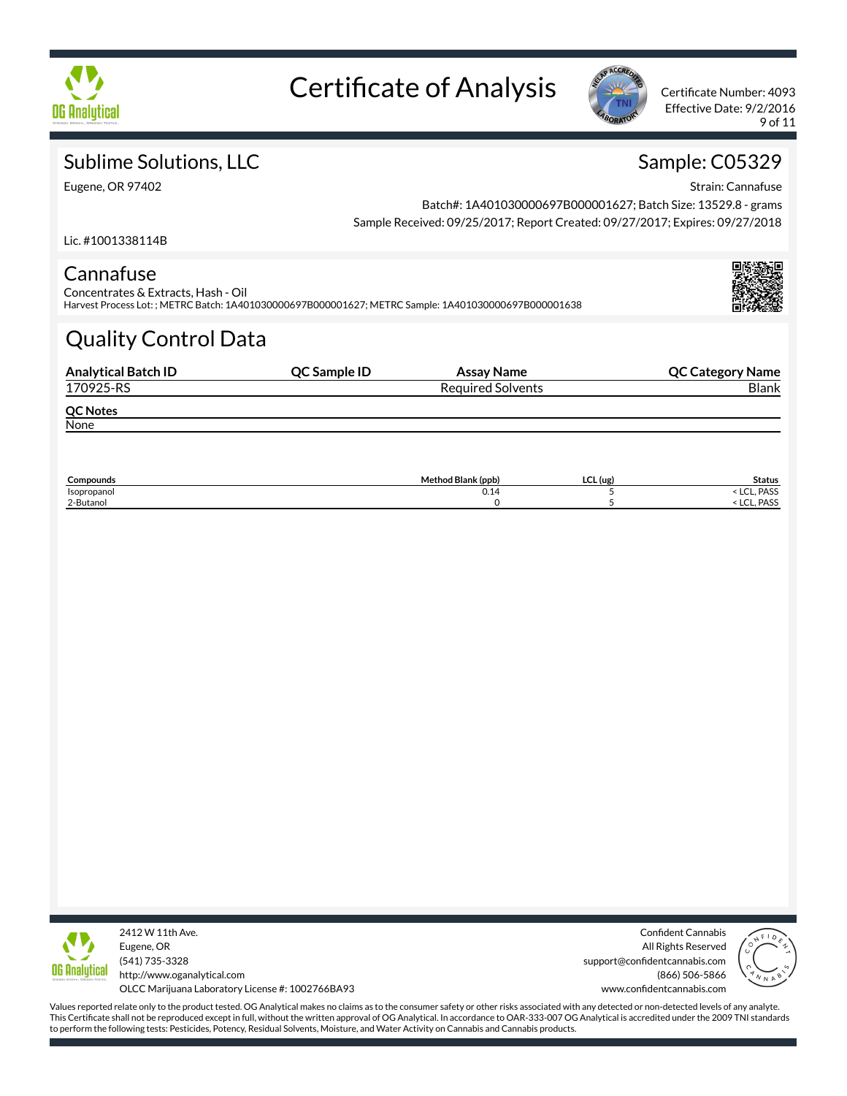



Effective Date: 9/2/2016 9 of 11

# Sublime Solutions, LLC

Eugene, OR 97402

## Sample: C05329

Strain: Cannafuse

Batch#: 1A401030000697B000001627; Batch Size: 13529.8 - grams Sample Received: 09/25/2017; Report Created: 09/27/2017; Expires: 09/27/2018

Lic. #1001338114B

### Cannafuse

Concentrates & Extracts, Hash - Oil Harvest Process Lot: ; METRC Batch: 1A401030000697B000001627; METRC Sample: 1A401030000697B000001638

# Quality Control Data

| <b>Analytical Batch ID</b> | QC Sample ID | Assay Name               | <b>QC Category Name</b> |
|----------------------------|--------------|--------------------------|-------------------------|
| 170925-RS                  |              | <b>Required Solvents</b> | <b>Blank</b>            |
| <b>QC Notes</b>            |              |                          |                         |
| None                       |              |                          |                         |
|                            |              |                          |                         |

| Compounds   | Method Blank (ppb) | $LCL$ (ug) | <b>Status</b>                  |
|-------------|--------------------|------------|--------------------------------|
| Isopropanol | V.14               |            | . PASS<br>$\sim$<br><b>LUI</b> |
| 2-Butanol   |                    |            | . PASS<br>$\sim$<br>ᇿᆫᆫ        |



2412 W 11th Ave. Eugene, OR (541) 735-3328 http://www.oganalytical.com OLCC Marijuana Laboratory License #: 1002766BA93

Confident Cannabis All Rights Reserved support@confidentcannabis.com (866) 506-5866 www.confidentcannabis.com

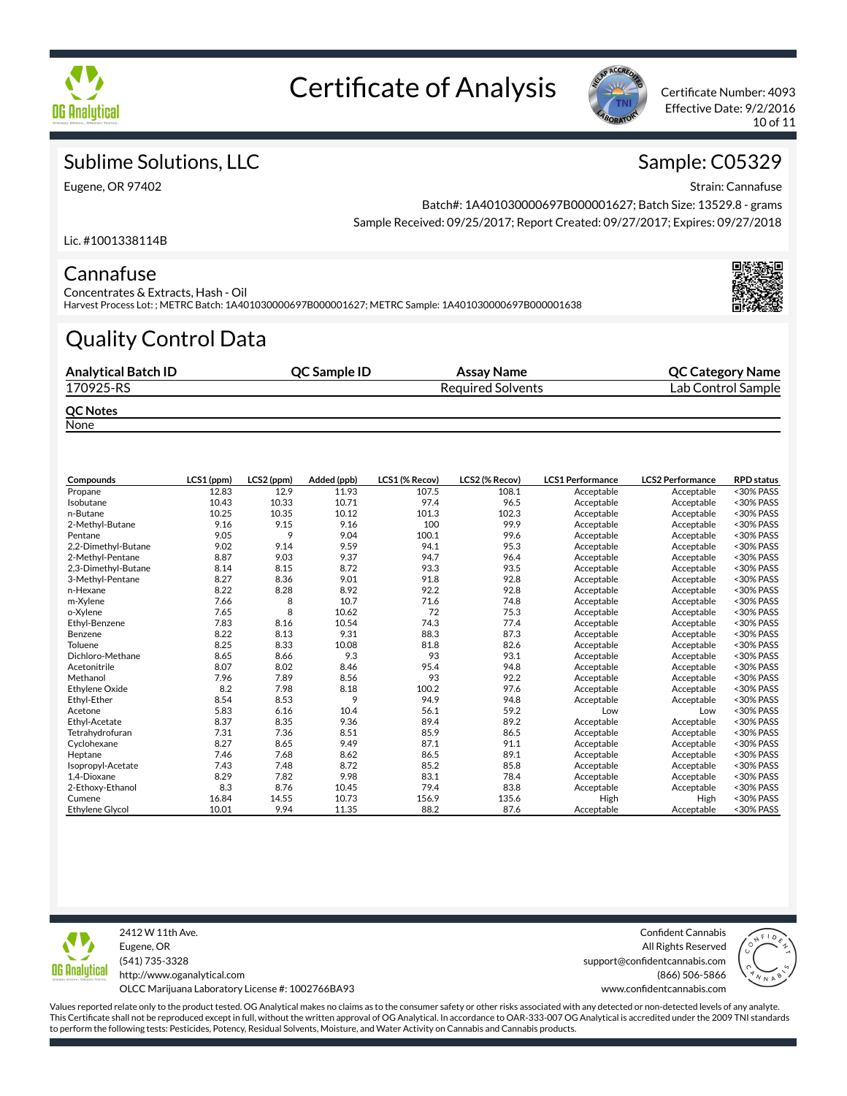



Effective Date: 9/2/2016 10 of 11

## Sublime Solutions, LLC

Eugene, OR 97402

## Sample: C05329

Strain: Cannafuse

Batch#: 1A401030000697B000001627; Batch Size: 13529.8 - grams Sample Received: 09/25/2017; Report Created: 09/27/2017; Expires: 09/27/2018

Lic. #1001338114B

### Cannafuse

Concentrates & Extracts, Hash - Oil Harvest Process Lot: ; METRC Batch: 1A401030000697B000001627; METRC Sample: 1A401030000697B000001638

# Quality Control Data

| <b>Analytical Batch ID</b>       | <b>OC Sample ID</b> | Assay Name               | <b>QC Category Name</b> |
|----------------------------------|---------------------|--------------------------|-------------------------|
| 170925-RS                        |                     | <b>Required Solvents</b> | Lab Control Sample      |
| <b>QC Notes</b><br><b>N</b> lama |                     |                          |                         |

None

| Compounds              | LCS1 (ppm) | LCS2 (ppm) | Added (ppb) | LCS1 (% Recov) | LCS2 (% Recov) | <b>LCS1 Performance</b> | <b>LCS2 Performance</b> | <b>RPD</b> status |
|------------------------|------------|------------|-------------|----------------|----------------|-------------------------|-------------------------|-------------------|
| Propane                | 12.83      | 12.9       | 11.93       | 107.5          | 108.1          | Acceptable              | Acceptable              | <30% PASS         |
| Isobutane              | 10.43      | 10.33      | 10.71       | 97.4           | 96.5           | Acceptable              | Acceptable              | <30% PASS         |
| n-Butane               | 10.25      | 10.35      | 10.12       | 101.3          | 102.3          | Acceptable              | Acceptable              | <30% PASS         |
| 2-Methyl-Butane        | 9.16       | 9.15       | 9.16        | 100            | 99.9           | Acceptable              | Acceptable              | <30% PASS         |
| Pentane                | 9.05       | 9          | 9.04        | 100.1          | 99.6           | Acceptable              | Acceptable              | <30% PASS         |
| 2,2-Dimethyl-Butane    | 9.02       | 9.14       | 9.59        | 94.1           | 95.3           | Acceptable              | Acceptable              | <30% PASS         |
| 2-Methyl-Pentane       | 8.87       | 9.03       | 9.37        | 94.7           | 96.4           | Acceptable              | Acceptable              | <30% PASS         |
| 2,3-Dimethyl-Butane    | 8.14       | 8.15       | 8.72        | 93.3           | 93.5           | Acceptable              | Acceptable              | <30% PASS         |
| 3-Methyl-Pentane       | 8.27       | 8.36       | 9.01        | 91.8           | 92.8           | Acceptable              | Acceptable              | <30% PASS         |
| n-Hexane               | 8.22       | 8.28       | 8.92        | 92.2           | 92.8           | Acceptable              | Acceptable              | <30% PASS         |
| m-Xylene               | 7.66       | 8          | 10.7        | 71.6           | 74.8           | Acceptable              | Acceptable              | <30% PASS         |
| o-Xylene               | 7.65       | 8          | 10.62       | 72             | 75.3           | Acceptable              | Acceptable              | <30% PASS         |
| Ethyl-Benzene          | 7.83       | 8.16       | 10.54       | 74.3           | 77.4           | Acceptable              | Acceptable              | <30% PASS         |
| Benzene                | 8.22       | 8.13       | 9.31        | 88.3           | 87.3           | Acceptable              | Acceptable              | <30% PASS         |
| Toluene                | 8.25       | 8.33       | 10.08       | 81.8           | 82.6           | Acceptable              | Acceptable              | <30% PASS         |
| Dichloro-Methane       | 8.65       | 8.66       | 9.3         | 93             | 93.1           | Acceptable              | Acceptable              | <30% PASS         |
| Acetonitrile           | 8.07       | 8.02       | 8.46        | 95.4           | 94.8           | Acceptable              | Acceptable              | <30% PASS         |
| Methanol               | 7.96       | 7.89       | 8.56        | 93             | 92.2           | Acceptable              | Acceptable              | <30% PASS         |
| <b>Ethylene Oxide</b>  | 8.2        | 7.98       | 8.18        | 100.2          | 97.6           | Acceptable              | Acceptable              | <30% PASS         |
| Ethyl-Ether            | 8.54       | 8.53       | 9           | 94.9           | 94.8           | Acceptable              | Acceptable              | <30% PASS         |
| Acetone                | 5.83       | 6.16       | 10.4        | 56.1           | 59.2           | Low                     | Low                     | <30% PASS         |
| Ethyl-Acetate          | 8.37       | 8.35       | 9.36        | 89.4           | 89.2           | Acceptable              | Acceptable              | <30% PASS         |
| Tetrahydrofuran        | 7.31       | 7.36       | 8.51        | 85.9           | 86.5           | Acceptable              | Acceptable              | <30% PASS         |
| Cyclohexane            | 8.27       | 8.65       | 9.49        | 87.1           | 91.1           | Acceptable              | Acceptable              | <30% PASS         |
| Heptane                | 7.46       | 7.68       | 8.62        | 86.5           | 89.1           | Acceptable              | Acceptable              | <30% PASS         |
| Isopropyl-Acetate      | 7.43       | 7.48       | 8.72        | 85.2           | 85.8           | Acceptable              | Acceptable              | <30% PASS         |
| 1,4-Dioxane            | 8.29       | 7.82       | 9.98        | 83.1           | 78.4           | Acceptable              | Acceptable              | <30% PASS         |
| 2-Ethoxy-Ethanol       | 8.3        | 8.76       | 10.45       | 79.4           | 83.8           | Acceptable              | Acceptable              | <30% PASS         |
| Cumene                 | 16.84      | 14.55      | 10.73       | 156.9          | 135.6          | High                    | High                    | <30% PASS         |
| <b>Ethylene Glycol</b> | 10.01      | 9.94       | 11.35       | 88.2           | 87.6           | Acceptable              | Acceptable              | <30% PASS         |



2412 W 11th Ave. Eugene, OR (541) 735-3328 http://www.oganalytical.com OLCC Marijuana Laboratory License #: 1002766BA93

Confident Cannabis All Rights Reserved support@confidentcannabis.com (866) 506-5866